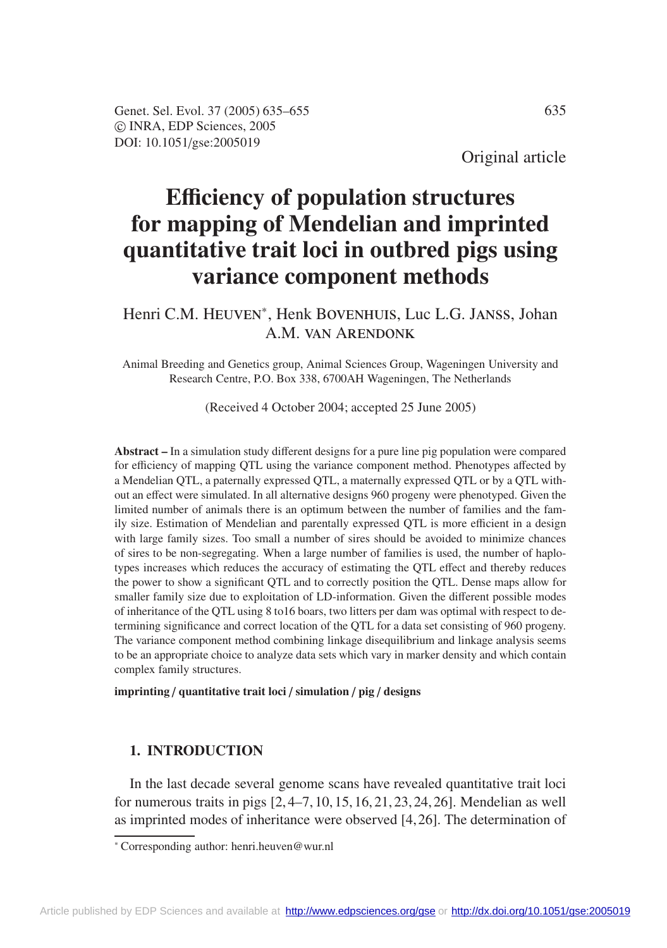Original article

# **E**ffi**ciency of population structures for mapping of Mendelian and imprinted quantitative trait loci in outbred pigs using variance component methods**

# Henri C.M. HEUVEN\*, Henk BOVENHUIS, Luc L.G. JANSS, Johan A.M. VAN ARENDONK

Animal Breeding and Genetics group, Animal Sciences Group, Wageningen University and Research Centre, P.O. Box 338, 6700AH Wageningen, The Netherlands

(Received 4 October 2004; accepted 25 June 2005)

**Abstract –** In a simulation study different designs for a pure line pig population were compared for efficiency of mapping QTL using the variance component method. Phenotypes affected by a Mendelian QTL, a paternally expressed QTL, a maternally expressed QTL or by a QTL without an effect were simulated. In all alternative designs 960 progeny were phenotyped. Given the limited number of animals there is an optimum between the number of families and the family size. Estimation of Mendelian and parentally expressed QTL is more efficient in a design with large family sizes. Too small a number of sires should be avoided to minimize chances of sires to be non-segregating. When a large number of families is used, the number of haplotypes increases which reduces the accuracy of estimating the QTL effect and thereby reduces the power to show a significant QTL and to correctly position the QTL. Dense maps allow for smaller family size due to exploitation of LD-information. Given the different possible modes of inheritance of the QTL using 8 to16 boars, two litters per dam was optimal with respect to determining significance and correct location of the QTL for a data set consisting of 960 progeny. The variance component method combining linkage disequilibrium and linkage analysis seems to be an appropriate choice to analyze data sets which vary in marker density and which contain complex family structures.

**imprinting** / **quantitative trait loci** / **simulation** / **pig** / **designs**

## **1. INTRODUCTION**

In the last decade several genome scans have revealed quantitative trait loci for numerous traits in pigs  $[2, 4–7, 10, 15, 16, 21, 23, 24, 26]$ . Mendelian as well as imprinted modes of inheritance were observed [4,26]. The determination of

<sup>∗</sup> Corresponding author: henri.heuven@wur.nl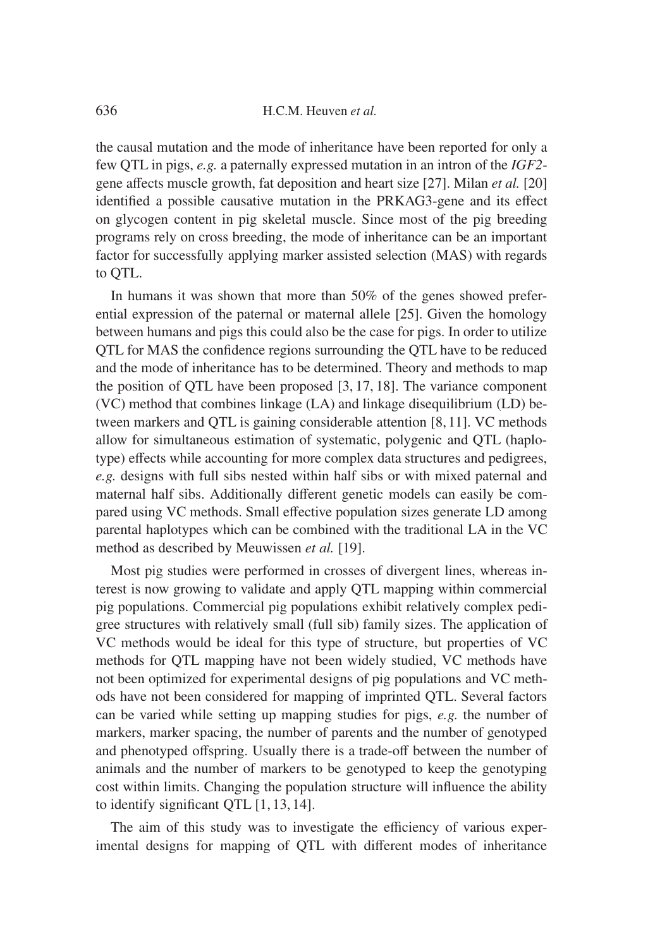the causal mutation and the mode of inheritance have been reported for only a few QTL in pigs, *e.g.* a paternally expressed mutation in an intron of the *IGF2* gene affects muscle growth, fat deposition and heart size [27]. Milan *et al.* [20] identified a possible causative mutation in the PRKAG3-gene and its effect on glycogen content in pig skeletal muscle. Since most of the pig breeding programs rely on cross breeding, the mode of inheritance can be an important factor for successfully applying marker assisted selection (MAS) with regards to QTL.

In humans it was shown that more than 50% of the genes showed preferential expression of the paternal or maternal allele [25]. Given the homology between humans and pigs this could also be the case for pigs. In order to utilize QTL for MAS the confidence regions surrounding the QTL have to be reduced and the mode of inheritance has to be determined. Theory and methods to map the position of QTL have been proposed [3, 17, 18]. The variance component (VC) method that combines linkage (LA) and linkage disequilibrium (LD) between markers and QTL is gaining considerable attention [8,11]. VC methods allow for simultaneous estimation of systematic, polygenic and QTL (haplotype) effects while accounting for more complex data structures and pedigrees, *e.g.* designs with full sibs nested within half sibs or with mixed paternal and maternal half sibs. Additionally different genetic models can easily be compared using VC methods. Small effective population sizes generate LD among parental haplotypes which can be combined with the traditional LA in the VC method as described by Meuwissen *et al.* [19].

Most pig studies were performed in crosses of divergent lines, whereas interest is now growing to validate and apply QTL mapping within commercial pig populations. Commercial pig populations exhibit relatively complex pedigree structures with relatively small (full sib) family sizes. The application of VC methods would be ideal for this type of structure, but properties of VC methods for QTL mapping have not been widely studied, VC methods have not been optimized for experimental designs of pig populations and VC methods have not been considered for mapping of imprinted QTL. Several factors can be varied while setting up mapping studies for pigs, *e.g.* the number of markers, marker spacing, the number of parents and the number of genotyped and phenotyped offspring. Usually there is a trade-off between the number of animals and the number of markers to be genotyped to keep the genotyping cost within limits. Changing the population structure will influence the ability to identify significant QTL [1, 13, 14].

The aim of this study was to investigate the efficiency of various experimental designs for mapping of QTL with different modes of inheritance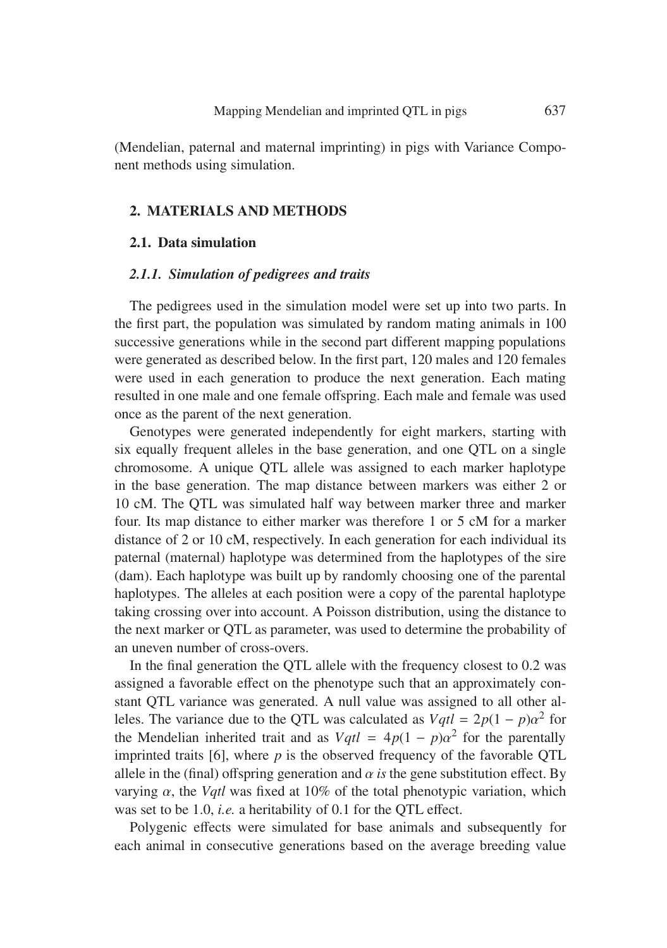(Mendelian, paternal and maternal imprinting) in pigs with Variance Component methods using simulation.

#### **2. MATERIALS AND METHODS**

## **2.1. Data simulation**

#### *2.1.1. Simulation of pedigrees and traits*

The pedigrees used in the simulation model were set up into two parts. In the first part, the population was simulated by random mating animals in 100 successive generations while in the second part different mapping populations were generated as described below. In the first part, 120 males and 120 females were used in each generation to produce the next generation. Each mating resulted in one male and one female offspring. Each male and female was used once as the parent of the next generation.

Genotypes were generated independently for eight markers, starting with six equally frequent alleles in the base generation, and one QTL on a single chromosome. A unique QTL allele was assigned to each marker haplotype in the base generation. The map distance between markers was either 2 or 10 cM. The QTL was simulated half way between marker three and marker four. Its map distance to either marker was therefore 1 or 5 cM for a marker distance of 2 or 10 cM, respectively. In each generation for each individual its paternal (maternal) haplotype was determined from the haplotypes of the sire (dam). Each haplotype was built up by randomly choosing one of the parental haplotypes. The alleles at each position were a copy of the parental haplotype taking crossing over into account. A Poisson distribution, using the distance to the next marker or QTL as parameter, was used to determine the probability of an uneven number of cross-overs.

In the final generation the QTL allele with the frequency closest to 0.2 was assigned a favorable effect on the phenotype such that an approximately constant QTL variance was generated. A null value was assigned to all other alleles. The variance due to the QTL was calculated as  $Vqtl = 2p(1 - p)\alpha^2$  for the Mendelian inherited trait and as  $Vqtl = 4p(1 - p)a^2$  for the parentally imprinted traits  $[6]$ , where  $p$  is the observed frequency of the favorable QTL allele in the (final) offspring generation and  $\alpha$  *is* the gene substitution effect. By varying  $\alpha$ , the *Vqtl* was fixed at 10% of the total phenotypic variation, which was set to be 1.0, *i.e.* a heritability of 0.1 for the QTL effect.

Polygenic effects were simulated for base animals and subsequently for each animal in consecutive generations based on the average breeding value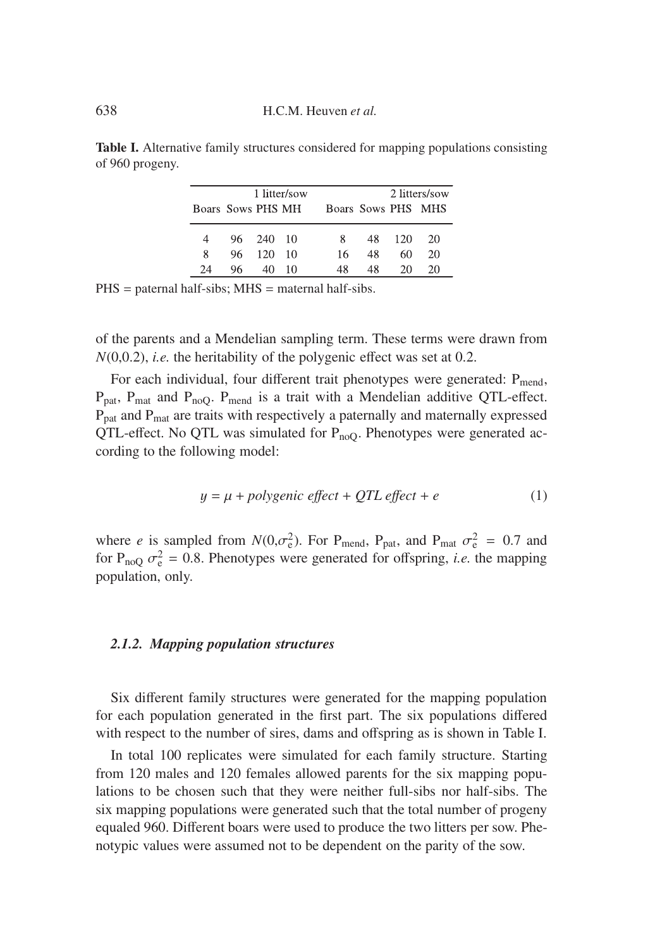|                  |     |                    | 1 litter/sow |                    | 2 litters/sow |      |    |  |
|------------------|-----|--------------------|--------------|--------------------|---------------|------|----|--|
|                  |     | Boars, Sows PHS MH |              | Boars Sows PHS MHS |               |      |    |  |
| 4                |     | 96 240 10          |              | 8                  | 48.           | -120 | 20 |  |
| 8                | 96. | -120               | 10           | 16                 | 48            | 60   | 20 |  |
| $\gamma_{\it 4}$ | 96  | 40                 | 10           | 48                 | 48.           | 20   | 20 |  |

**Table I.** Alternative family structures considered for mapping populations consisting of 960 progeny.

 $PHS =$  paternal half-sibs;  $MHS =$  maternal half-sibs.

of the parents and a Mendelian sampling term. These terms were drawn from *N*(0,0.2), *i.e.* the heritability of the polygenic effect was set at 0.2.

For each individual, four different trait phenotypes were generated:  $P_{\text{mend}}$ , P<sub>pat</sub>, P<sub>mat</sub> and P<sub>noQ</sub>. P<sub>mend</sub> is a trait with a Mendelian additive QTL-effect. P<sub>pat</sub> and P<sub>mat</sub> are traits with respectively a paternally and maternally expressed QTL-effect. No QTL was simulated for  $P_{\text{noO}}$ . Phenotypes were generated according to the following model:

$$
y = \mu + polygenic effect + QTL effect + e
$$
 (1)

where *e* is sampled from  $N(0,\sigma_e^2)$ . For P<sub>mend</sub>, P<sub>pat</sub>, and P<sub>mat</sub>  $\sigma_e^2 = 0.7$  and for  $P_{\text{noQ}} \sigma_e^2 = 0.8$ . Phenotypes were generated for offspring, *i.e.* the mapping population, only.

## *2.1.2. Mapping population structures*

Six different family structures were generated for the mapping population for each population generated in the first part. The six populations differed with respect to the number of sires, dams and offspring as is shown in Table I.

In total 100 replicates were simulated for each family structure. Starting from 120 males and 120 females allowed parents for the six mapping populations to be chosen such that they were neither full-sibs nor half-sibs. The six mapping populations were generated such that the total number of progeny equaled 960. Different boars were used to produce the two litters per sow. Phenotypic values were assumed not to be dependent on the parity of the sow.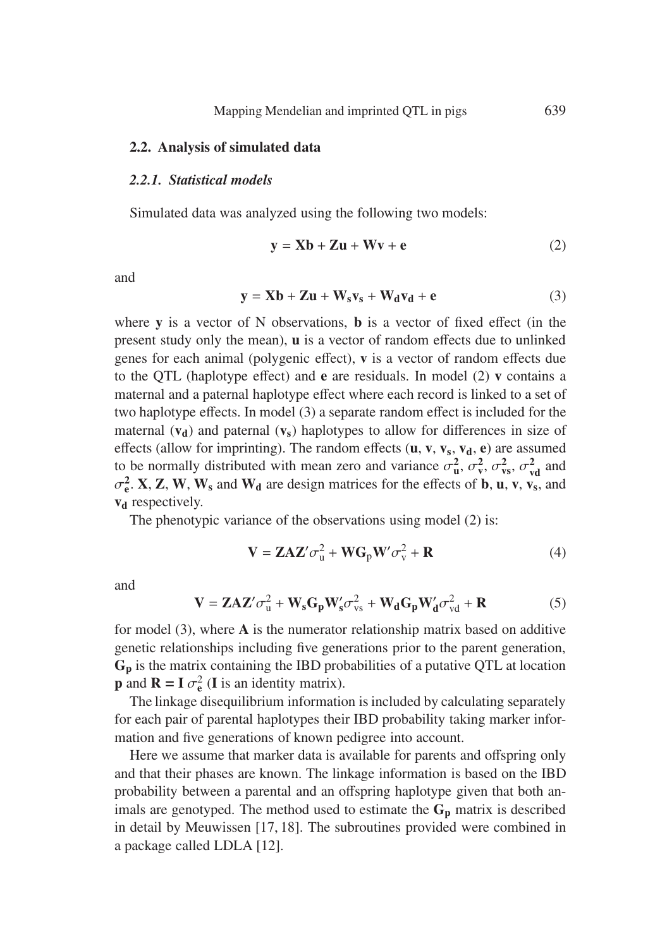#### **2.2. Analysis of simulated data**

#### *2.2.1. Statistical models*

Simulated data was analyzed using the following two models:

$$
y = Xb + Zu + Wv + e \tag{2}
$$

and

$$
\mathbf{y} = \mathbf{X}\mathbf{b} + \mathbf{Z}\mathbf{u} + \mathbf{W}_s \mathbf{v}_s + \mathbf{W}_d \mathbf{v}_d + \mathbf{e}
$$
 (3)

where **y** is a vector of N observations, **b** is a vector of fixed effect (in the present study only the mean), **u** is a vector of random effects due to unlinked genes for each animal (polygenic effect), **v** is a vector of random effects due to the QTL (haplotype effect) and **e** are residuals. In model (2) **v** contains a maternal and a paternal haplotype effect where each record is linked to a set of two haplotype effects. In model (3) a separate random effect is included for the maternal  $(v_d)$  and paternal  $(v_s)$  haplotypes to allow for differences in size of effects (allow for imprinting). The random effects  $(\mathbf{u}, \mathbf{v}, \mathbf{v}_s, \mathbf{v}_d, \mathbf{e})$  are assumed to be normally distributed with mean zero and variance  $\sigma_{\bf u}^2$ ,  $\sigma_{\bf v}^2$ ,  $\sigma_{\bf v}^2$ ,  $\sigma_{\bf v d}^2$  and  $\sigma_e^2$ . **X**, **Z**, **W**, **W**<sub>s</sub> and **W**<sub>d</sub> are design matrices for the effects of **b**, **u**, **v**, **v**<sub>s</sub>, and **v**<sub>d</sub> respectively.

The phenotypic variance of the observations using model (2) is:

$$
\mathbf{V} = \mathbf{Z} \mathbf{A} \mathbf{Z}' \sigma_u^2 + \mathbf{W} \mathbf{G}_p \mathbf{W}' \sigma_v^2 + \mathbf{R}
$$
 (4)

and

$$
\mathbf{V} = \mathbf{Z} \mathbf{A} \mathbf{Z}' \sigma_u^2 + \mathbf{W}_s \mathbf{G}_p \mathbf{W}_s' \sigma_{vs}^2 + \mathbf{W}_d \mathbf{G}_p \mathbf{W}_d' \sigma_{vd}^2 + \mathbf{R}
$$
 (5)

for model (3), where **A** is the numerator relationship matrix based on additive genetic relationships including five generations prior to the parent generation, **Gp** is the matrix containing the IBD probabilities of a putative QTL at location **p** and  $\mathbf{R} = \mathbf{I} \sigma_{\mathbf{e}}^2$  (**I** is an identity matrix).

The linkage disequilibrium information is included by calculating separately for each pair of parental haplotypes their IBD probability taking marker information and five generations of known pedigree into account.

Here we assume that marker data is available for parents and offspring only and that their phases are known. The linkage information is based on the IBD probability between a parental and an offspring haplotype given that both animals are genotyped. The method used to estimate the  $G_p$  matrix is described in detail by Meuwissen [17, 18]. The subroutines provided were combined in a package called LDLA [12].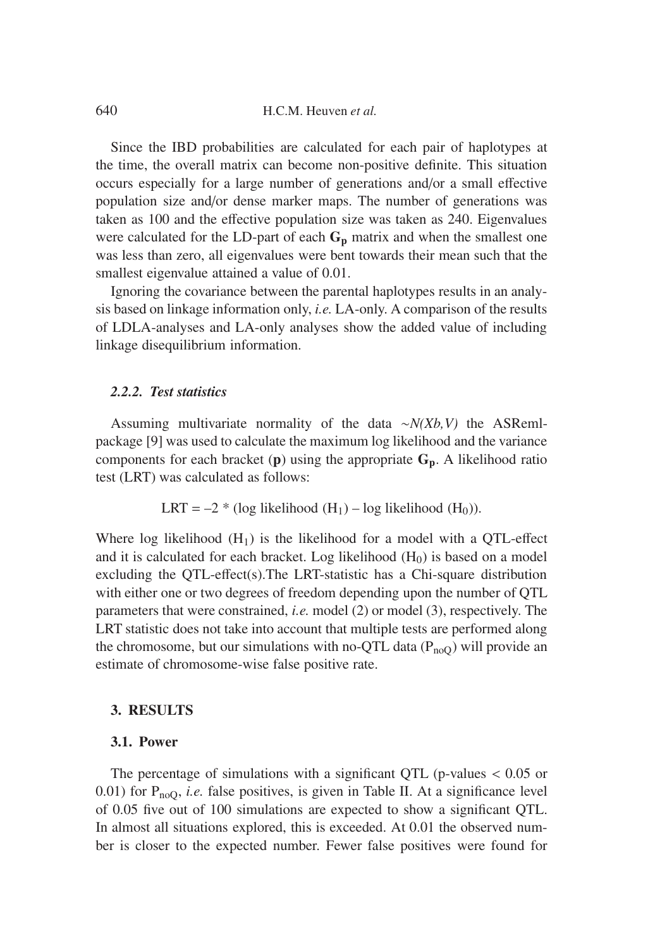Since the IBD probabilities are calculated for each pair of haplotypes at the time, the overall matrix can become non-positive definite. This situation occurs especially for a large number of generations and/or a small effective population size and/or dense marker maps. The number of generations was taken as 100 and the effective population size was taken as 240. Eigenvalues were calculated for the LD-part of each  $G_p$  matrix and when the smallest one was less than zero, all eigenvalues were bent towards their mean such that the smallest eigenvalue attained a value of 0.01.

Ignoring the covariance between the parental haplotypes results in an analysis based on linkage information only, *i.e.* LA-only. A comparison of the results of LDLA-analyses and LA-only analyses show the added value of including linkage disequilibrium information.

#### *2.2.2. Test statistics*

Assuming multivariate normality of the data ∼*N(Xb,V)* the ASRemlpackage [9] was used to calculate the maximum log likelihood and the variance components for each bracket  $(\mathbf{p})$  using the appropriate  $\mathbf{G}_{\mathbf{p}}$ . A likelihood ratio test (LRT) was calculated as follows:

LRT = 
$$
-2
$$
 \* (log likelihood (H<sub>1</sub>) – log likelihood (H<sub>0</sub>)).

Where log likelihood  $(H_1)$  is the likelihood for a model with a QTL-effect and it is calculated for each bracket. Log likelihood  $(H_0)$  is based on a model excluding the QTL-effect(s).The LRT-statistic has a Chi-square distribution with either one or two degrees of freedom depending upon the number of QTL parameters that were constrained, *i.e.* model (2) or model (3), respectively. The LRT statistic does not take into account that multiple tests are performed along the chromosome, but our simulations with no-QTL data  $(P_{noO})$  will provide an estimate of chromosome-wise false positive rate.

#### **3. RESULTS**

#### **3.1. Power**

The percentage of simulations with a significant QTL (p-values  $< 0.05$  or 0.01) for  $P_{noQ}$ , *i.e.* false positives, is given in Table II. At a significance level of 0.05 five out of 100 simulations are expected to show a significant QTL. In almost all situations explored, this is exceeded. At 0.01 the observed number is closer to the expected number. Fewer false positives were found for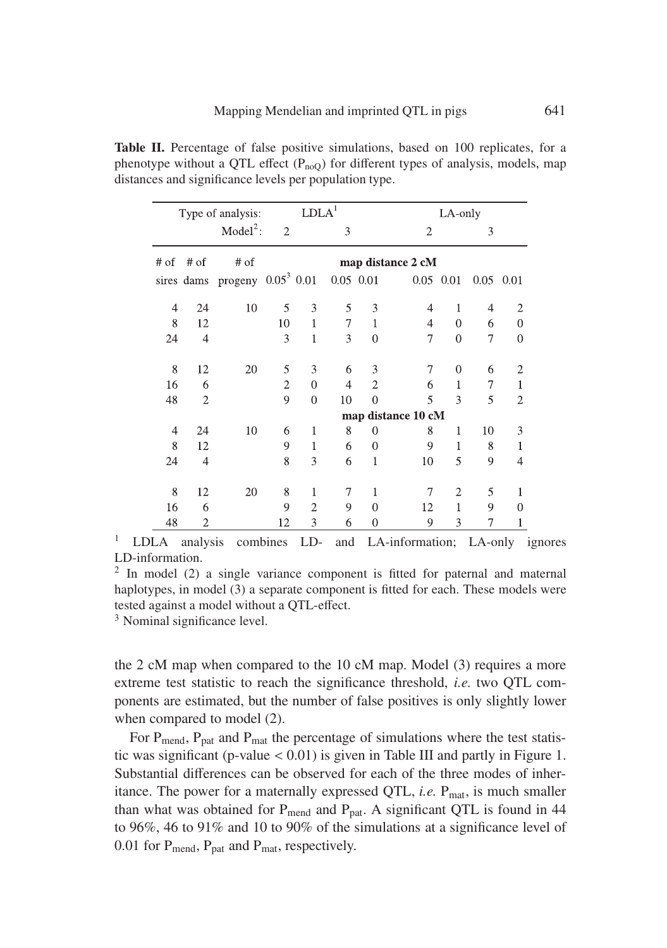|                |                | Type of analysis:                | LDLA <sup>1</sup> |                |                |                | LA-only            |                |             |                |
|----------------|----------------|----------------------------------|-------------------|----------------|----------------|----------------|--------------------|----------------|-------------|----------------|
|                |                | $Model2$ :                       | $\overline{2}$    |                | 3              |                | $\overline{2}$     |                | 3           |                |
| $#$ of         | # of           | $#$ of                           |                   |                |                |                | map distance 2 cM  |                |             |                |
|                |                | sires dams progeny $0.05^3$ 0.01 |                   |                |                | $0.05$ $0.01$  | 0.05               | 0.01           | $0.05$ 0.01 |                |
| $\overline{4}$ | 24             | 10                               | 5                 | 3              | 5              | 3              | 4                  | 1              | 4           | $\overline{c}$ |
| 8              | 12             |                                  | 10                | 1              | 7              | 1              | $\overline{4}$     | $\theta$       | 6           | $\theta$       |
| 24             | $\overline{4}$ |                                  | 3                 | 1              | 3              | $\overline{0}$ | $\tau$             | $\overline{0}$ | 7           | $\mathbf{0}$   |
| 8              | 12             | 20                               | 5                 | 3              | 6              | 3              | 7                  | $\theta$       | 6           | $\overline{2}$ |
| 16             | 6              |                                  | $\overline{2}$    | $\theta$       | $\overline{4}$ | $\overline{2}$ | 6                  | 1              | 7           |                |
| 48             | $\overline{2}$ |                                  | 9                 | $\theta$       | 10             | $\Omega$       | 5                  | 3              | 5           | $\overline{2}$ |
|                |                |                                  |                   |                |                |                | map distance 10 cM |                |             |                |
| 4              | 24             | 10                               | 6                 | $\mathbf{1}$   | 8              | $\theta$       | 8                  | $\mathbf{1}$   | 10          | 3              |
| 8              | 12             |                                  | 9                 | 1              | 6              | $\theta$       | 9                  | 1              | 8           |                |
| 24             | $\overline{4}$ |                                  | 8                 | 3              | 6              | 1              | 10                 | 5              | 9           | 4              |
| 8              | 12             | 20                               | 8                 | 1              | 7              | 1              | $\overline{7}$     | $\overline{2}$ | 5           |                |
| 16             | 6              |                                  | 9                 | $\overline{2}$ | 9              | $\Omega$       | 12                 | 1              | 9           | $\Omega$       |
| 48             | 2              |                                  | 12                | 3              | 6              | $\theta$       | 9                  | 3              | 7           |                |

**Table II.** Percentage of false positive simulations, based on 100 replicates, for a phenotype without a QTL effect  $(P_{noQ})$  for different types of analysis, models, map distances and significance levels per population type.

<sup>1</sup> LDLA analysis combines LD- and LA-information; LA-only ignores LD-information.

 $2 \text{ In model (2) a single variance component is fitted for potential and maternal}$ haplotypes, in model (3) a separate component is fitted for each. These models were tested against a model without a QTL-effect.

<sup>3</sup> Nominal significance level.

the 2 cM map when compared to the 10 cM map. Model (3) requires a more extreme test statistic to reach the significance threshold, *i.e.* two QTL components are estimated, but the number of false positives is only slightly lower when compared to model (2).

For  $P_{\text{mend}}$ ,  $P_{\text{pat}}$  and  $P_{\text{mat}}$  the percentage of simulations where the test statistic was significant (p-value  $< 0.01$ ) is given in Table III and partly in Figure 1. Substantial differences can be observed for each of the three modes of inheritance. The power for a maternally expressed QTL, *i.e.* P<sub>mat</sub>, is much smaller than what was obtained for  $P_{\text{mend}}$  and  $P_{\text{pat}}$ . A significant QTL is found in 44 to 96%, 46 to 91% and 10 to 90% of the simulations at a significance level of 0.01 for  $P_{\text{mend}}$ ,  $P_{\text{pat}}$  and  $P_{\text{mat}}$ , respectively.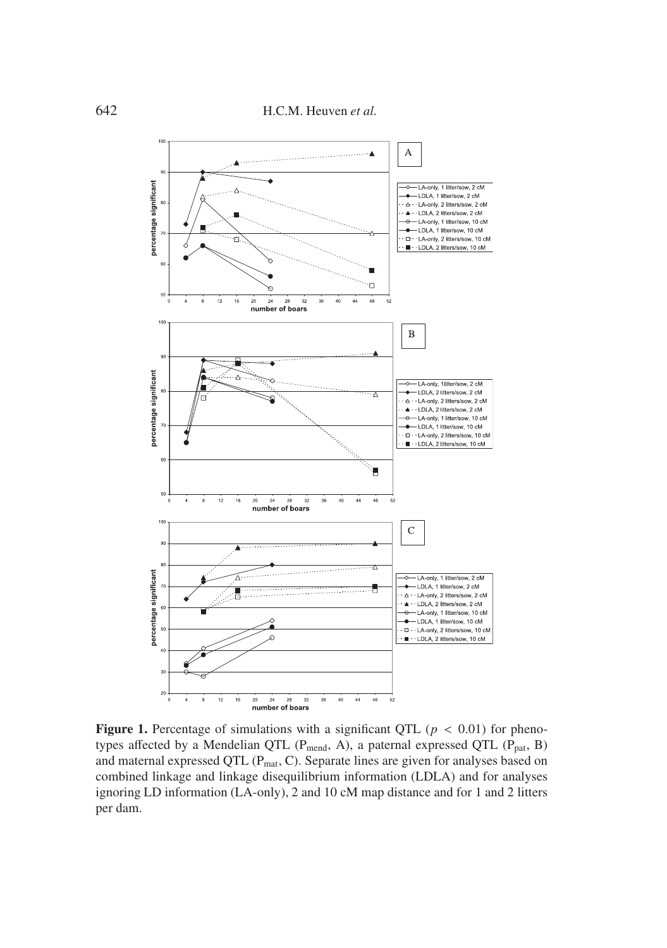

**Figure 1.** Percentage of simulations with a significant QTL ( $p < 0.01$ ) for phenotypes affected by a Mendelian QTL ( $P_{\text{mend}}$ , A), a paternal expressed QTL ( $P_{\text{pat}}$ , B) and maternal expressed QTL (P<sub>mat</sub>, C). Separate lines are given for analyses based on combined linkage and linkage disequilibrium information (LDLA) and for analyses ignoring LD information (LA-only), 2 and 10 cM map distance and for 1 and 2 litters per dam.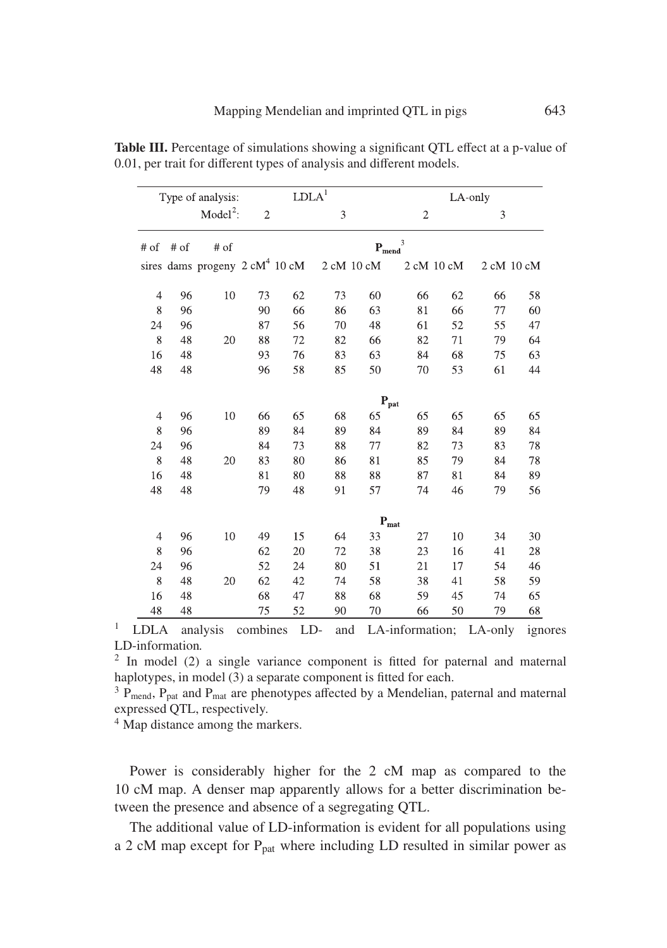|                |      | Type of analysis:                          |                | LDLA <sup>1</sup> |    |            | LA-only                      |            |    |            |  |
|----------------|------|--------------------------------------------|----------------|-------------------|----|------------|------------------------------|------------|----|------------|--|
|                |      | $Model2$ :                                 | $\overline{c}$ |                   | 3  |            | $\overline{c}$               |            | 3  |            |  |
| $#$ of         | # of | # of                                       |                |                   |    |            | $\mathbf{P}_{\text{mend}}^3$ |            |    |            |  |
|                |      | sires dams progeny 2 cM <sup>4</sup> 10 cM |                |                   |    | 2 cM 10 cM |                              | 2 cM 10 cM |    | 2 cM 10 cM |  |
| 4              | 96   | 10                                         | 73             | 62                | 73 | 60         | 66                           | 62         | 66 | 58         |  |
| $\,$ 8 $\,$    | 96   |                                            | 90             | 66                | 86 | 63         | 81                           | 66         | 77 | 60         |  |
| 24             | 96   |                                            | 87             | 56                | 70 | 48         | 61                           | 52         | 55 | 47         |  |
| 8              | 48   | 20                                         | 88             | 72                | 82 | 66         | 82                           | 71         | 79 | 64         |  |
| 16             | 48   |                                            | 93             | 76                | 83 | 63         | 84                           | 68         | 75 | 63         |  |
| 48             | 48   |                                            | 96             | 58                | 85 | 50         | 70                           | 53         | 61 | 44         |  |
|                |      |                                            |                |                   |    |            | $P_{pat}$                    |            |    |            |  |
| 4              | 96   | 10                                         | 66             | 65                | 68 | 65         | 65                           | 65         | 65 | 65         |  |
| $8\,$          | 96   |                                            | 89             | 84                | 89 | 84         | 89                           | 84         | 89 | 84         |  |
| 24             | 96   |                                            | 84             | 73                | 88 | 77         | 82                           | 73         | 83 | 78         |  |
| 8              | 48   | 20                                         | 83             | 80                | 86 | 81         | 85                           | 79         | 84 | 78         |  |
| 16             | 48   |                                            | 81             | 80                | 88 | 88         | 87                           | 81         | 84 | 89         |  |
| 48             | 48   |                                            | 79             | 48                | 91 | 57         | 74                           | 46         | 79 | 56         |  |
|                |      |                                            |                |                   |    |            | $P_{\text{mat}}$             |            |    |            |  |
| $\overline{4}$ | 96   | 10                                         | 49             | 15                | 64 | 33         | 27                           | 10         | 34 | 30         |  |
| 8              | 96   |                                            | 62             | 20                | 72 | 38         | 23                           | 16         | 41 | 28         |  |
| 24             | 96   |                                            | 52             | 24                | 80 | 51         | 21                           | 17         | 54 | 46         |  |
| $\,8\,$        | 48   | 20                                         | 62             | 42                | 74 | 58         | 38                           | 41         | 58 | 59         |  |
| 16             | 48   |                                            | 68             | 47                | 88 | 68         | 59                           | 45         | 74 | 65         |  |
| 48             | 48   |                                            | 75             | 52                | 90 | 70         | 66                           | 50         | 79 | 68         |  |

**Table III.** Percentage of simulations showing a significant QTL effect at a p-value of 0.01, per trait for different types of analysis and different models.

<sup>1</sup> LDLA analysis combines LD- and LA-information; LA-only ignores LD-information.

<sup>2</sup> In model (2) a single variance component is fitted for paternal and maternal haplotypes, in model (3) a separate component is fitted for each.

 $3 P_{\text{mend}}$ ,  $P_{\text{pat}}$  and  $P_{\text{mat}}$  are phenotypes affected by a Mendelian, paternal and maternal expressed QTL, respectively.

<sup>4</sup> Map distance among the markers.

Power is considerably higher for the 2 cM map as compared to the 10 cM map. A denser map apparently allows for a better discrimination between the presence and absence of a segregating QTL.

The additional value of LD-information is evident for all populations using a 2 cM map except for  $P_{pat}$  where including LD resulted in similar power as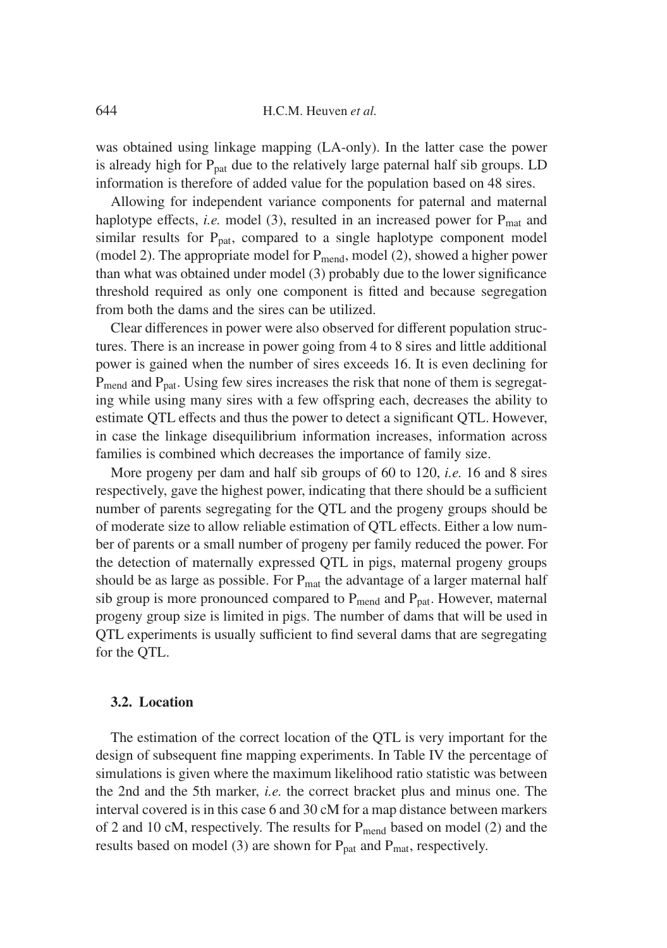644 H.C.M. Heuven *et al.*

was obtained using linkage mapping (LA-only). In the latter case the power is already high for  $P_{pat}$  due to the relatively large paternal half sib groups. LD information is therefore of added value for the population based on 48 sires.

Allowing for independent variance components for paternal and maternal haplotype effects, *i.e.* model (3), resulted in an increased power for  $P_{\text{mat}}$  and similar results for  $P_{pat}$ , compared to a single haplotype component model (model 2). The appropriate model for  $P_{\text{mend}}$ , model (2), showed a higher power than what was obtained under model (3) probably due to the lower significance threshold required as only one component is fitted and because segregation from both the dams and the sires can be utilized.

Clear differences in power were also observed for different population structures. There is an increase in power going from 4 to 8 sires and little additional power is gained when the number of sires exceeds 16. It is even declining for P<sub>mend</sub> and P<sub>pat</sub>. Using few sires increases the risk that none of them is segregating while using many sires with a few offspring each, decreases the ability to estimate QTL effects and thus the power to detect a significant QTL. However, in case the linkage disequilibrium information increases, information across families is combined which decreases the importance of family size.

More progeny per dam and half sib groups of 60 to 120, *i.e.* 16 and 8 sires respectively, gave the highest power, indicating that there should be a sufficient number of parents segregating for the QTL and the progeny groups should be of moderate size to allow reliable estimation of QTL effects. Either a low number of parents or a small number of progeny per family reduced the power. For the detection of maternally expressed QTL in pigs, maternal progeny groups should be as large as possible. For P<sub>mat</sub> the advantage of a larger maternal half sib group is more pronounced compared to  $P_{\text{mend}}$  and  $P_{\text{pat}}$ . However, maternal progeny group size is limited in pigs. The number of dams that will be used in QTL experiments is usually sufficient to find several dams that are segregating for the QTL.

## **3.2. Location**

The estimation of the correct location of the QTL is very important for the design of subsequent fine mapping experiments. In Table IV the percentage of simulations is given where the maximum likelihood ratio statistic was between the 2nd and the 5th marker, *i.e.* the correct bracket plus and minus one. The interval covered is in this case 6 and 30 cM for a map distance between markers of 2 and 10 cM, respectively. The results for  $P_{\text{mend}}$  based on model (2) and the results based on model (3) are shown for  $P_{pat}$  and  $P_{mat}$ , respectively.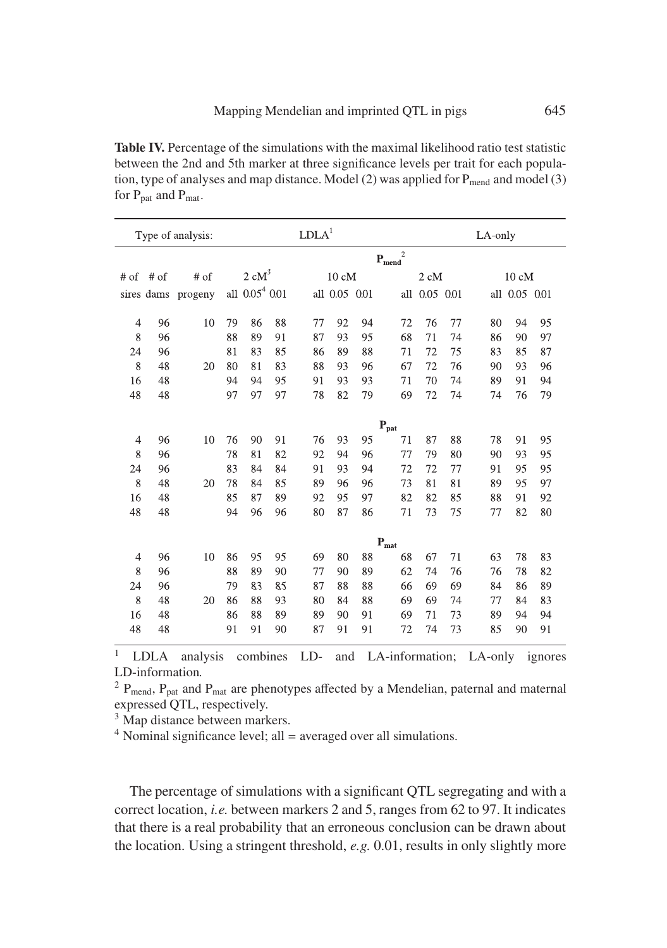**Table IV.** Percentage of the simulations with the maximal likelihood ratio test statistic between the 2nd and 5th marker at three significance levels per trait for each population, type of analyses and map distance. Model (2) was applied for  $P_{\text{mend}}$  and model (3) for  $P_{pat}$  and  $P_{mat}$ .

| Type of analysis: |            |         | LDLA <sup>1</sup> |                       |    |    |               |    | LA-only                     |             |    |    |               |    |
|-------------------|------------|---------|-------------------|-----------------------|----|----|---------------|----|-----------------------------|-------------|----|----|---------------|----|
|                   |            |         |                   | $\mathbf{P_{mend}}^2$ |    |    |               |    |                             |             |    |    |               |    |
| # of              | $#$ of     | # of    |                   | $2 \text{ cM}^3$      |    |    | 10 cM         |    |                             | 2 cM        |    |    | 10 cM         |    |
|                   | sires dams | progeny |                   | all $0.05^4$ 0.01     |    |    | all 0.05 0.01 |    | all                         | $0.05$ 0.01 |    |    | all 0.05 0.01 |    |
|                   |            |         |                   |                       |    |    |               |    |                             |             |    |    |               |    |
| 4                 | 96         | 10      | 79                | 86                    | 88 | 77 | 92            | 94 | 72                          | 76          | 77 | 80 | 94            | 95 |
| 8                 | 96         |         | 88                | 89                    | 91 | 87 | 93            | 95 | 68                          | 71          | 74 | 86 | 90            | 97 |
| 24                | 96         |         | 81                | 83                    | 85 | 86 | 89            | 88 | 71                          | 72          | 75 | 83 | 85            | 87 |
| 8                 | 48         | 20      | 80                | 81                    | 83 | 88 | 93            | 96 | 67                          | 72          | 76 | 90 | 93            | 96 |
| 16                | 48         |         | 94                | 94                    | 95 | 91 | 93            | 93 | 71                          | 70          | 74 | 89 | 91            | 94 |
| 48                | 48         |         | 97                | 97                    | 97 | 78 | 82            | 79 | 69                          | 72          | 74 | 74 | 76            | 79 |
|                   |            |         |                   |                       |    |    |               |    |                             |             |    |    |               |    |
|                   |            |         |                   |                       |    |    |               |    | $\mathbf{P}_{\mathrm{pat}}$ |             |    |    |               |    |
| $\overline{4}$    | 96         | 10      | 76                | 90                    | 91 | 76 | 93            | 95 | 71                          | 87          | 88 | 78 | 91            | 95 |
| 8                 | 96         |         | 78                | 81                    | 82 | 92 | 94            | 96 | 77                          | 79          | 80 | 90 | 93            | 95 |
| 24                | 96         |         | 83                | 84                    | 84 | 91 | 93            | 94 | 72                          | 72          | 77 | 91 | 95            | 95 |
| 8                 | 48         | 20      | 78                | 84                    | 85 | 89 | 96            | 96 | 73                          | 81          | 81 | 89 | 95            | 97 |
| 16                | 48         |         | 85                | 87                    | 89 | 92 | 95            | 97 | 82                          | 82          | 85 | 88 | 91            | 92 |
| 48                | 48         |         | 94                | 96                    | 96 | 80 | 87            | 86 | 71                          | 73          | 75 | 77 | 82            | 80 |
|                   |            |         |                   |                       |    |    |               |    |                             |             |    |    |               |    |
|                   |            |         |                   |                       |    |    |               |    | $\mathbf{P}_{\text{mat}}$   |             |    |    |               |    |
| $\overline{4}$    | 96         | 10      | 86                | 95                    | 95 | 69 | 80            | 88 | 68                          | 67          | 71 | 63 | 78            | 83 |
| 8                 | 96         |         | 88                | 89                    | 90 | 77 | 90            | 89 | 62                          | 74          | 76 | 76 | 78            | 82 |
| 24                | 96         |         | 79                | 83                    | 85 | 87 | 88            | 88 | 66                          | 69          | 69 | 84 | 86            | 89 |
| 8                 | 48         | 20      | 86                | 88                    | 93 | 80 | 84            | 88 | 69                          | 69          | 74 | 77 | 84            | 83 |
| 16                | 48         |         | 86                | 88                    | 89 | 89 | 90            | 91 | 69                          | 71          | 73 | 89 | 94            | 94 |
| 48                | 48         |         | 91                | 91                    | 90 | 87 | 91            | 91 | 72                          | 74          | 73 | 85 | 90            | 91 |
|                   |            |         |                   |                       |    |    |               |    |                             |             |    |    |               |    |

<sup>1</sup> LDLA analysis combines LD- and LA-information; LA-only ignores LD-information.

 $2 P_{\text{mend}}$ ,  $P_{\text{pat}}$  and  $P_{\text{mat}}$  are phenotypes affected by a Mendelian, paternal and maternal expressed QTL, respectively.

<sup>3</sup> Map distance between markers.

 $4$  Nominal significance level; all = averaged over all simulations.

The percentage of simulations with a significant QTL segregating and with a correct location, *i.e.* between markers 2 and 5, ranges from 62 to 97. It indicates that there is a real probability that an erroneous conclusion can be drawn about the location. Using a stringent threshold, *e.g.* 0.01, results in only slightly more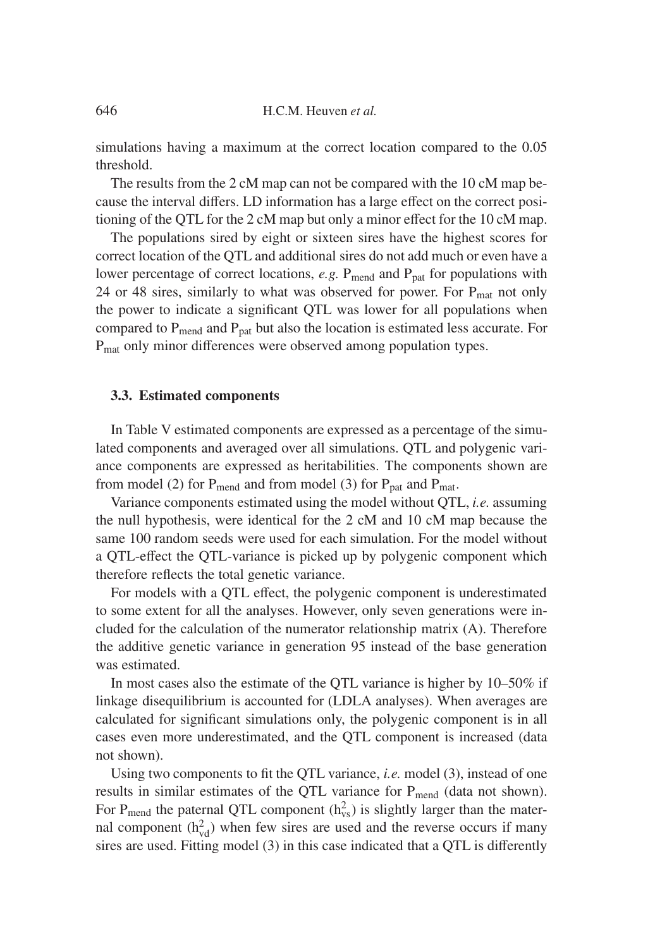simulations having a maximum at the correct location compared to the 0.05 threshold.

The results from the 2 cM map can not be compared with the 10 cM map because the interval differs. LD information has a large effect on the correct positioning of the QTL for the 2 cM map but only a minor effect for the 10 cM map.

The populations sired by eight or sixteen sires have the highest scores for correct location of the QTL and additional sires do not add much or even have a lower percentage of correct locations, *e.g.* P<sub>mend</sub> and P<sub>pat</sub> for populations with 24 or 48 sires, similarly to what was observed for power. For  $P_{mat}$  not only the power to indicate a significant QTL was lower for all populations when compared to  $P_{\text{mend}}$  and  $P_{\text{pat}}$  but also the location is estimated less accurate. For P<sub>mat</sub> only minor differences were observed among population types.

## **3.3. Estimated components**

In Table V estimated components are expressed as a percentage of the simulated components and averaged over all simulations. QTL and polygenic variance components are expressed as heritabilities. The components shown are from model (2) for  $P_{\text{mend}}$  and from model (3) for  $P_{\text{pat}}$  and  $P_{\text{mat}}$ .

Variance components estimated using the model without QTL, *i.e.* assuming the null hypothesis, were identical for the 2 cM and 10 cM map because the same 100 random seeds were used for each simulation. For the model without a QTL-effect the QTL-variance is picked up by polygenic component which therefore reflects the total genetic variance.

For models with a QTL effect, the polygenic component is underestimated to some extent for all the analyses. However, only seven generations were included for the calculation of the numerator relationship matrix (A). Therefore the additive genetic variance in generation 95 instead of the base generation was estimated.

In most cases also the estimate of the QTL variance is higher by 10–50% if linkage disequilibrium is accounted for (LDLA analyses). When averages are calculated for significant simulations only, the polygenic component is in all cases even more underestimated, and the QTL component is increased (data not shown).

Using two components to fit the QTL variance, *i.e.* model (3), instead of one results in similar estimates of the QTL variance for  $P_{\text{mend}}$  (data not shown). For  $P_{\text{mend}}$  the paternal QTL component  $(h_{vs}^2)$  is slightly larger than the maternal component  $(h_{vd}^2)$  when few sires are used and the reverse occurs if many sires are used. Fitting model (3) in this case indicated that a QTL is differently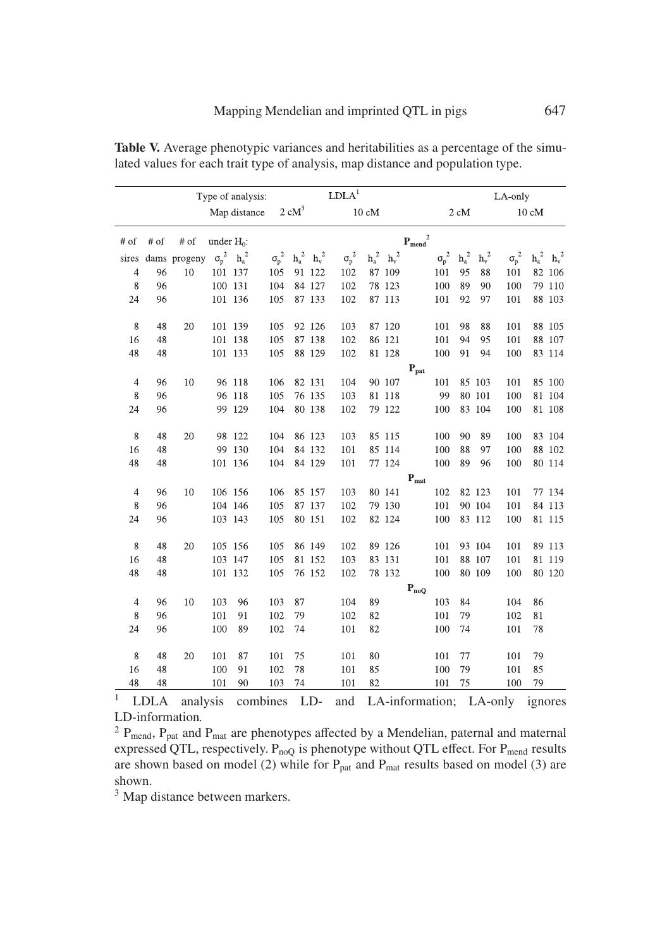|                |      |              |               | Type of analysis:    |                  |           |         | $\ensuremath{\mathrm{LDLA}}^1$ |           |         |                              |                    |           |                 | LA-only      |           |         |
|----------------|------|--------------|---------------|----------------------|------------------|-----------|---------|--------------------------------|-----------|---------|------------------------------|--------------------|-----------|-----------------|--------------|-----------|---------|
|                |      |              |               | Map distance         |                  | $2$ $cM3$ |         |                                | 10 cM     |         |                              |                    | $2$ cM    |                 |              | 10 cM     |         |
| # of           | # of | # of         | under $H_0$ : |                      |                  |           |         |                                |           |         | $\mathbf{P}_{\text{mend}}^2$ |                    |           |                 |              |           |         |
| sires          |      | dams progeny |               | $\sigma_p^2$ $h_a^2$ | $\sigma_{p}^{2}$ | ${h_a}^2$ | $h_v^2$ | $\sigma_{p}^{2}$               | ${h_a}^2$ | $h_v^2$ |                              | $\sigma_{\rm p}^2$ | ${h_a}^2$ | ${h_{\rm v}}^2$ | $\sigma_p^2$ | ${h_a}^2$ | $h_v^2$ |
| $\overline{4}$ | 96   | 10           | 101 137       |                      | 105              |           | 91 122  | 102                            |           | 87 109  |                              | 101                | 95        | 88              | 101          |           | 82 106  |
| 8              | 96   |              | 100 131       |                      | 104              |           | 84 127  | 102                            |           | 78 123  |                              | 100                | 89        | 90              | 100          |           | 79 110  |
| 24             | 96   |              | 101 136       |                      | 105              |           | 87 133  | 102                            |           | 87 113  |                              | 101                | 92        | 97              | 101          |           | 88 103  |
| $\,$ 8 $\,$    | 48   | 20           | 101 139       |                      | 105              |           | 92 126  | 103                            |           | 87 120  |                              | 101                | 98        | 88              | 101          |           | 88 105  |
| 16             | 48   |              | 101           | 138                  | 105              |           | 87 138  | 102                            |           | 86 121  |                              | 101                | 94        | 95              | 101          |           | 88 107  |
| 48             | 48   |              |               | 101 133              | 105              |           | 88 129  | 102                            |           | 81 128  |                              | 100                | 91        | 94              | 100          |           | 83 114  |
|                |      |              |               |                      |                  |           |         |                                |           |         | $P_{\text{pat}}$             |                    |           |                 |              |           |         |
| $\overline{4}$ | 96   | 10           |               | 96 118               | 106              |           | 82 131  | 104                            |           | 90 107  |                              | 101                |           | 85 103          | 101          |           | 85 100  |
| $\,$ 8 $\,$    | 96   |              |               | 96 118               | 105              |           | 76 135  | 103                            |           | 81 118  |                              | 99                 |           | 80 101          | 100          |           | 81 104  |
| 24             | 96   |              |               | 99 129               | 104              |           | 80 138  | 102                            |           | 79 122  |                              | 100                |           | 83 104          | 100          |           | 81 108  |
| 8              | 48   | 20           |               | 98 122               | 104              |           | 86 123  | 103                            |           | 85 115  |                              | 100                | 90        | 89              | 100          |           | 83 104  |
| 16             | 48   |              | 99            | 130                  | 104              |           | 84 132  | 101                            |           | 85 114  |                              | 100                | 88        | 97              | 100          |           | 88 102  |
| 48             | 48   |              |               | 101 136              | 104              |           | 84 129  | 101                            |           | 77 124  |                              | 100                | 89        | 96              | 100          |           | 80 114  |
|                |      |              |               |                      |                  |           |         |                                |           |         | $\mathbf{P}_{\rm mat}$       |                    |           |                 |              |           |         |
| $\overline{4}$ | 96   | 10           | 106 156       |                      | 106              |           | 85 157  | 103                            |           | 80 141  |                              | 102                |           | 82 123          | 101          |           | 77 134  |
| 8              | 96   |              | 104 146       |                      | 105              |           | 87 137  | 102                            |           | 79 130  |                              | 101                |           | 90 104          | 101          |           | 84 113  |
| 24             | 96   |              | 103 143       |                      | 105              |           | 80 151  | 102                            |           | 82 124  |                              | 100                |           | 83 112          | 100          |           | 81 115  |
| 8              | 48   | 20           | 105 156       |                      | 105              |           | 86 149  | 102                            |           | 89 126  |                              | 101                |           | 93 104          | 101          |           | 89 113  |
| 16             | 48   |              | 103 147       |                      | 105              |           | 81 152  | 103                            |           | 83 131  |                              | 101                |           | 88 107          | 101          |           | 81 119  |
| 48             | 48   |              | 101 132       |                      | 105              |           | 76 152  | 102                            |           | 78 132  |                              | 100                |           | 80 109          | 100          |           | 80 120  |
|                |      |              |               |                      |                  |           |         |                                |           |         | $P_{noO}$                    |                    |           |                 |              |           |         |
| $\overline{4}$ | 96   | 10           | 103           | 96                   | 103              | 87        |         | 104                            | 89        |         |                              | 103                | 84        |                 | 104          | 86        |         |
| 8              | 96   |              | 101           | 91                   | 102              | 79        |         | 102                            | 82        |         |                              | 101                | 79        |                 | 102          | 81        |         |
| 24             | 96   |              | 100           | 89                   | 102              | 74        |         | 101                            | 82        |         |                              | 100                | 74        |                 | 101          | 78        |         |
| 8              | 48   | 20           | 101           | 87                   | 101              | 75        |         | 101                            | 80        |         |                              | 101                | 77        |                 | 101          | 79        |         |
| 16             | 48   |              | 100           | 91                   | 102              | 78        |         | 101                            | 85        |         |                              | 100                | 79        |                 | 101          | 85        |         |
| 48             | 48   |              | 101           | 90                   | 103              | 74        |         | 101                            | 82        |         |                              | 101                | 75        |                 | 100          | 79        |         |

Table V. Average phenotypic variances and heritabilities as a percentage of the simulated values for each trait type of analysis, map distance and population type.

<sup>1</sup> LDLA analysis combines LD- and LA-information; LA-only ignores LD-information.

 $2 P_{\text{mend}}$ ,  $P_{\text{pat}}$  and  $P_{\text{mat}}$  are phenotypes affected by a Mendelian, paternal and maternal expressed QTL, respectively.  $P_{noQ}$  is phenotype without QTL effect. For  $P_{mend}$  results are shown based on model (2) while for  $P_{pat}$  and  $P_{mat}$  results based on model (3) are shown.

<sup>3</sup> Map distance between markers.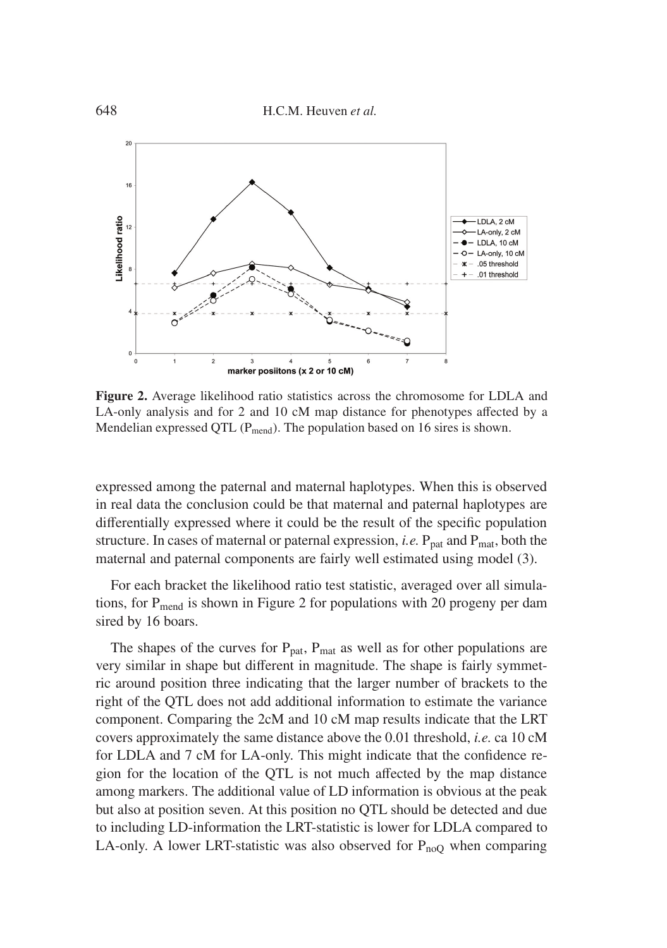

**Figure 2.** Average likelihood ratio statistics across the chromosome for LDLA and LA-only analysis and for 2 and 10 cM map distance for phenotypes affected by a Mendelian expressed QTL ( $P_{\text{mend}}$ ). The population based on 16 sires is shown.

expressed among the paternal and maternal haplotypes. When this is observed in real data the conclusion could be that maternal and paternal haplotypes are differentially expressed where it could be the result of the specific population structure. In cases of maternal or paternal expression, *i.e.*  $P_{pat}$  and  $P_{mat}$ , both the maternal and paternal components are fairly well estimated using model (3).

For each bracket the likelihood ratio test statistic, averaged over all simulations, for P<sub>mend</sub> is shown in Figure 2 for populations with 20 progeny per dam sired by 16 boars.

The shapes of the curves for  $P_{pat}$ ,  $P_{mat}$  as well as for other populations are very similar in shape but different in magnitude. The shape is fairly symmetric around position three indicating that the larger number of brackets to the right of the QTL does not add additional information to estimate the variance component. Comparing the 2cM and 10 cM map results indicate that the LRT covers approximately the same distance above the 0.01 threshold, *i.e.* ca 10 cM for LDLA and 7 cM for LA-only. This might indicate that the confidence region for the location of the QTL is not much affected by the map distance among markers. The additional value of LD information is obvious at the peak but also at position seven. At this position no QTL should be detected and due to including LD-information the LRT-statistic is lower for LDLA compared to LA-only. A lower LRT-statistic was also observed for  $P_{\text{noQ}}$  when comparing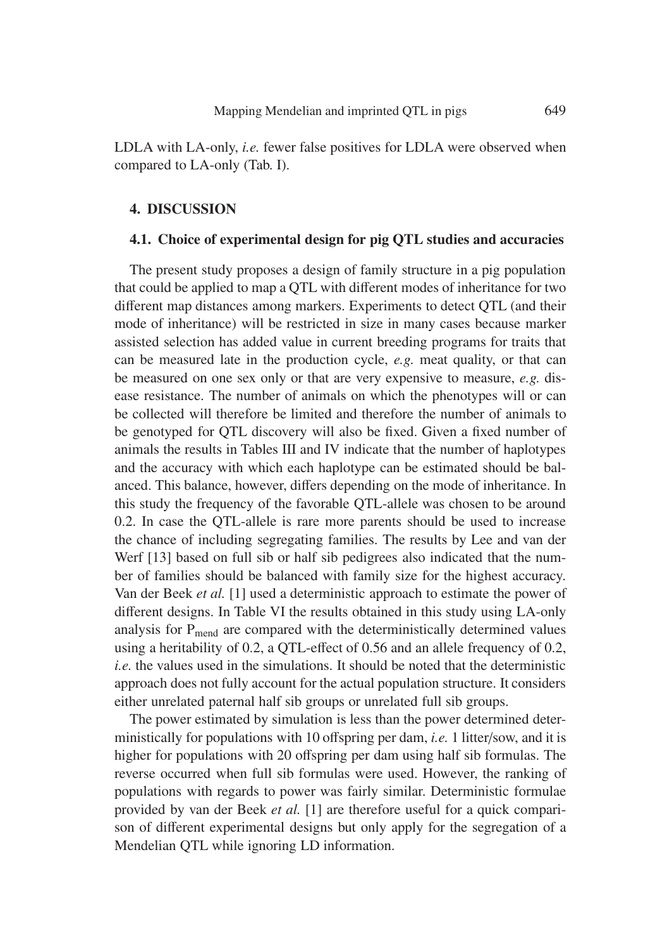LDLA with LA-only, *i.e.* fewer false positives for LDLA were observed when compared to LA-only (Tab. I).

#### **4. DISCUSSION**

#### **4.1. Choice of experimental design for pig QTL studies and accuracies**

The present study proposes a design of family structure in a pig population that could be applied to map a QTL with different modes of inheritance for two different map distances among markers. Experiments to detect QTL (and their mode of inheritance) will be restricted in size in many cases because marker assisted selection has added value in current breeding programs for traits that can be measured late in the production cycle, *e.g.* meat quality, or that can be measured on one sex only or that are very expensive to measure, *e.g.* disease resistance. The number of animals on which the phenotypes will or can be collected will therefore be limited and therefore the number of animals to be genotyped for QTL discovery will also be fixed. Given a fixed number of animals the results in Tables III and IV indicate that the number of haplotypes and the accuracy with which each haplotype can be estimated should be balanced. This balance, however, differs depending on the mode of inheritance. In this study the frequency of the favorable QTL-allele was chosen to be around 0.2. In case the QTL-allele is rare more parents should be used to increase the chance of including segregating families. The results by Lee and van der Werf [13] based on full sib or half sib pedigrees also indicated that the number of families should be balanced with family size for the highest accuracy. Van der Beek *et al.* [1] used a deterministic approach to estimate the power of different designs. In Table VI the results obtained in this study using LA-only analysis for P<sub>mend</sub> are compared with the deterministically determined values using a heritability of 0.2, a QTL-effect of 0.56 and an allele frequency of 0.2, *i.e.* the values used in the simulations. It should be noted that the deterministic approach does not fully account for the actual population structure. It considers either unrelated paternal half sib groups or unrelated full sib groups.

The power estimated by simulation is less than the power determined deterministically for populations with 10 offspring per dam, *i.e.* 1 litter/sow, and it is higher for populations with 20 offspring per dam using half sib formulas. The reverse occurred when full sib formulas were used. However, the ranking of populations with regards to power was fairly similar. Deterministic formulae provided by van der Beek *et al.* [1] are therefore useful for a quick comparison of different experimental designs but only apply for the segregation of a Mendelian QTL while ignoring LD information.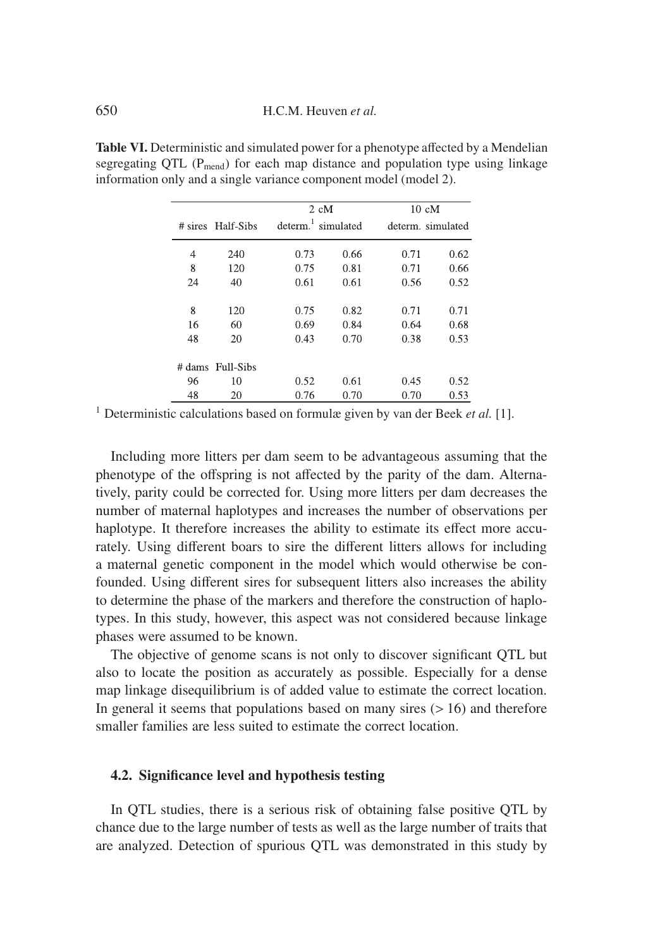|    |                   | 2 cM    |           | $10 \text{ cM}$   |      |  |  |  |
|----|-------------------|---------|-----------|-------------------|------|--|--|--|
|    | # sires Half-Sibs | determ. | simulated | determ. simulated |      |  |  |  |
| 4  | 240               | 0.73    | 0.66      | 0.71              | 0.62 |  |  |  |
| 8  | 120               | 0.75    | 0.81      | 0.71              | 0.66 |  |  |  |
| 24 | 40                | 0.61    | 0.61      | 0.56              | 0.52 |  |  |  |
| 8  | 120               | 0.75    | 0.82      | 0.71              | 0.71 |  |  |  |
| 16 | 60                | 0.69    | 0.84      | 0.64              | 0.68 |  |  |  |
| 48 | 20                | 0.43    | 0.70      | 0.38              | 0.53 |  |  |  |
|    | # dams Full-Sibs  |         |           |                   |      |  |  |  |
| 96 | 10                | 0.52    | 0.61      | 0.45              | 0.52 |  |  |  |
| 48 | 20                | 0.76    | 0.70      | 0.70              | 0.53 |  |  |  |

**Table VI.** Deterministic and simulated power for a phenotype affected by a Mendelian segregating QTL (P<sub>mend</sub>) for each map distance and population type using linkage information only and a single variance component model (model 2).

<sup>1</sup> Deterministic calculations based on formulæ given by van der Beek *et al.* [1].

Including more litters per dam seem to be advantageous assuming that the phenotype of the offspring is not affected by the parity of the dam. Alternatively, parity could be corrected for. Using more litters per dam decreases the number of maternal haplotypes and increases the number of observations per haplotype. It therefore increases the ability to estimate its effect more accurately. Using different boars to sire the different litters allows for including a maternal genetic component in the model which would otherwise be confounded. Using different sires for subsequent litters also increases the ability to determine the phase of the markers and therefore the construction of haplotypes. In this study, however, this aspect was not considered because linkage phases were assumed to be known.

The objective of genome scans is not only to discover significant QTL but also to locate the position as accurately as possible. Especially for a dense map linkage disequilibrium is of added value to estimate the correct location. In general it seems that populations based on many sires  $(> 16)$  and therefore smaller families are less suited to estimate the correct location.

#### **4.2. Significance level and hypothesis testing**

In QTL studies, there is a serious risk of obtaining false positive QTL by chance due to the large number of tests as well as the large number of traits that are analyzed. Detection of spurious QTL was demonstrated in this study by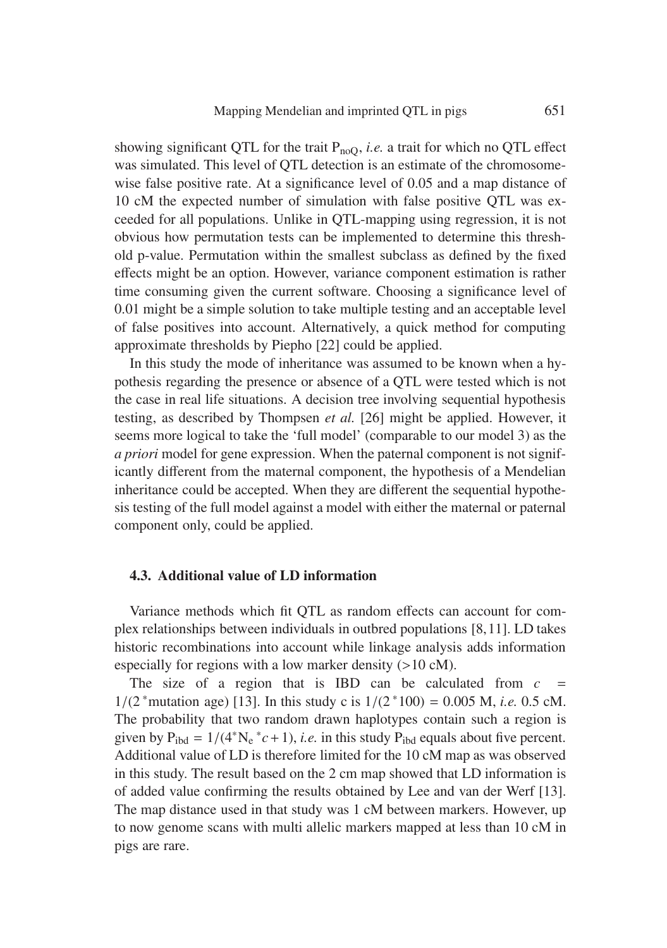showing significant QTL for the trait  $P_{\text{noO}}$ , *i.e.* a trait for which no QTL effect was simulated. This level of QTL detection is an estimate of the chromosomewise false positive rate. At a significance level of 0.05 and a map distance of 10 cM the expected number of simulation with false positive QTL was exceeded for all populations. Unlike in QTL-mapping using regression, it is not obvious how permutation tests can be implemented to determine this threshold p-value. Permutation within the smallest subclass as defined by the fixed effects might be an option. However, variance component estimation is rather time consuming given the current software. Choosing a significance level of 0.01 might be a simple solution to take multiple testing and an acceptable level of false positives into account. Alternatively, a quick method for computing approximate thresholds by Piepho [22] could be applied.

In this study the mode of inheritance was assumed to be known when a hypothesis regarding the presence or absence of a QTL were tested which is not the case in real life situations. A decision tree involving sequential hypothesis testing, as described by Thompsen *et al.* [26] might be applied. However, it seems more logical to take the 'full model' (comparable to our model 3) as the *a priori* model for gene expression. When the paternal component is not significantly different from the maternal component, the hypothesis of a Mendelian inheritance could be accepted. When they are different the sequential hypothesis testing of the full model against a model with either the maternal or paternal component only, could be applied.

#### **4.3. Additional value of LD information**

Variance methods which fit QTL as random effects can account for complex relationships between individuals in outbred populations [8,11]. LD takes historic recombinations into account while linkage analysis adds information especially for regions with a low marker density (>10 cM).

The size of a region that is IBD can be calculated from  $c =$  $1/(2^*$  mutation age) [13]. In this study c is  $1/(2^*100) = 0.005$  M, *i.e.* 0.5 cM. The probability that two random drawn haplotypes contain such a region is given by  $P_{\text{ibd}} = 1/(4^*N_e^*c + 1)$ , *i.e.* in this study  $P_{\text{ibd}}$  equals about five percent. Additional value of LD is therefore limited for the 10 cM map as was observed in this study. The result based on the 2 cm map showed that LD information is of added value confirming the results obtained by Lee and van der Werf [13]. The map distance used in that study was 1 cM between markers. However, up to now genome scans with multi allelic markers mapped at less than 10 cM in pigs are rare.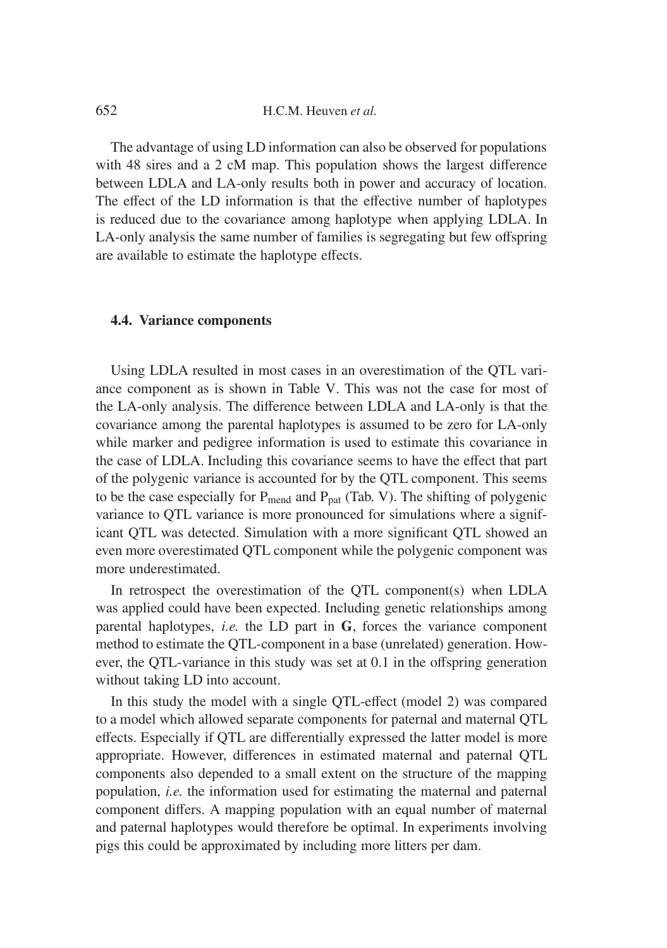The advantage of using LD information can also be observed for populations with 48 sires and a 2 cM map. This population shows the largest difference between LDLA and LA-only results both in power and accuracy of location. The effect of the LD information is that the effective number of haplotypes is reduced due to the covariance among haplotype when applying LDLA. In LA-only analysis the same number of families is segregating but few offspring are available to estimate the haplotype effects.

## **4.4. Variance components**

Using LDLA resulted in most cases in an overestimation of the QTL variance component as is shown in Table V. This was not the case for most of the LA-only analysis. The difference between LDLA and LA-only is that the covariance among the parental haplotypes is assumed to be zero for LA-only while marker and pedigree information is used to estimate this covariance in the case of LDLA. Including this covariance seems to have the effect that part of the polygenic variance is accounted for by the QTL component. This seems to be the case especially for  $P_{\text{mend}}$  and  $P_{\text{pat}}$  (Tab. V). The shifting of polygenic variance to QTL variance is more pronounced for simulations where a significant QTL was detected. Simulation with a more significant QTL showed an even more overestimated QTL component while the polygenic component was more underestimated.

In retrospect the overestimation of the QTL component(s) when LDLA was applied could have been expected. Including genetic relationships among parental haplotypes, *i.e.* the LD part in **G**, forces the variance component method to estimate the QTL-component in a base (unrelated) generation. However, the QTL-variance in this study was set at 0.1 in the offspring generation without taking LD into account.

In this study the model with a single QTL-effect (model 2) was compared to a model which allowed separate components for paternal and maternal QTL effects. Especially if QTL are differentially expressed the latter model is more appropriate. However, differences in estimated maternal and paternal QTL components also depended to a small extent on the structure of the mapping population, *i.e.* the information used for estimating the maternal and paternal component differs. A mapping population with an equal number of maternal and paternal haplotypes would therefore be optimal. In experiments involving pigs this could be approximated by including more litters per dam.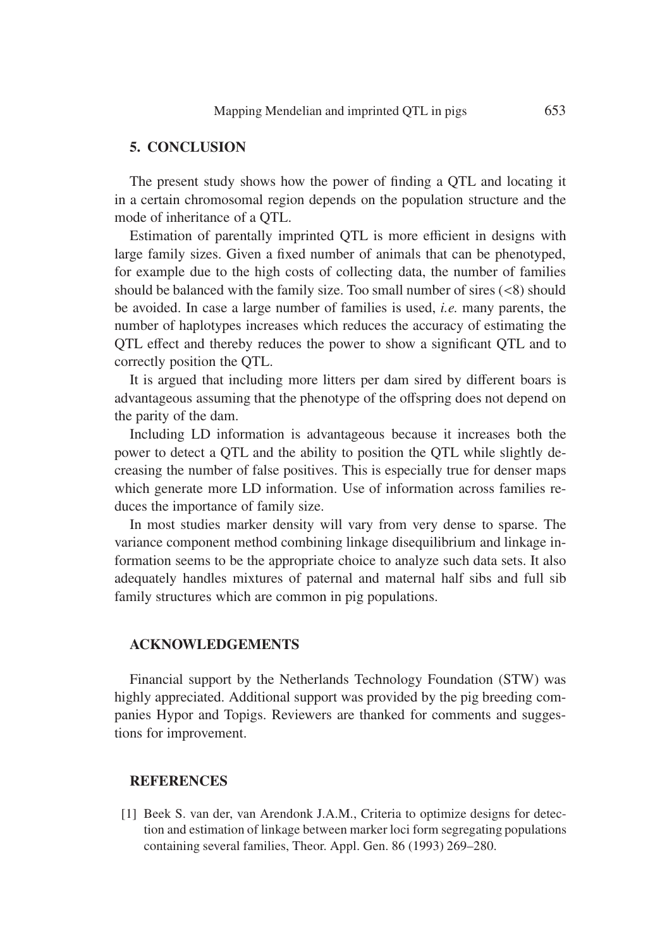### **5. CONCLUSION**

The present study shows how the power of finding a QTL and locating it in a certain chromosomal region depends on the population structure and the mode of inheritance of a QTL.

Estimation of parentally imprinted QTL is more efficient in designs with large family sizes. Given a fixed number of animals that can be phenotyped, for example due to the high costs of collecting data, the number of families should be balanced with the family size. Too small number of sires  $(< 8)$  should be avoided. In case a large number of families is used, *i.e.* many parents, the number of haplotypes increases which reduces the accuracy of estimating the QTL effect and thereby reduces the power to show a significant QTL and to correctly position the QTL.

It is argued that including more litters per dam sired by different boars is advantageous assuming that the phenotype of the offspring does not depend on the parity of the dam.

Including LD information is advantageous because it increases both the power to detect a QTL and the ability to position the QTL while slightly decreasing the number of false positives. This is especially true for denser maps which generate more LD information. Use of information across families reduces the importance of family size.

In most studies marker density will vary from very dense to sparse. The variance component method combining linkage disequilibrium and linkage information seems to be the appropriate choice to analyze such data sets. It also adequately handles mixtures of paternal and maternal half sibs and full sib family structures which are common in pig populations.

## **ACKNOWLEDGEMENTS**

Financial support by the Netherlands Technology Foundation (STW) was highly appreciated. Additional support was provided by the pig breeding companies Hypor and Topigs. Reviewers are thanked for comments and suggestions for improvement.

#### **REFERENCES**

[1] Beek S. van der, van Arendonk J.A.M., Criteria to optimize designs for detection and estimation of linkage between marker loci form segregating populations containing several families, Theor. Appl. Gen. 86 (1993) 269–280.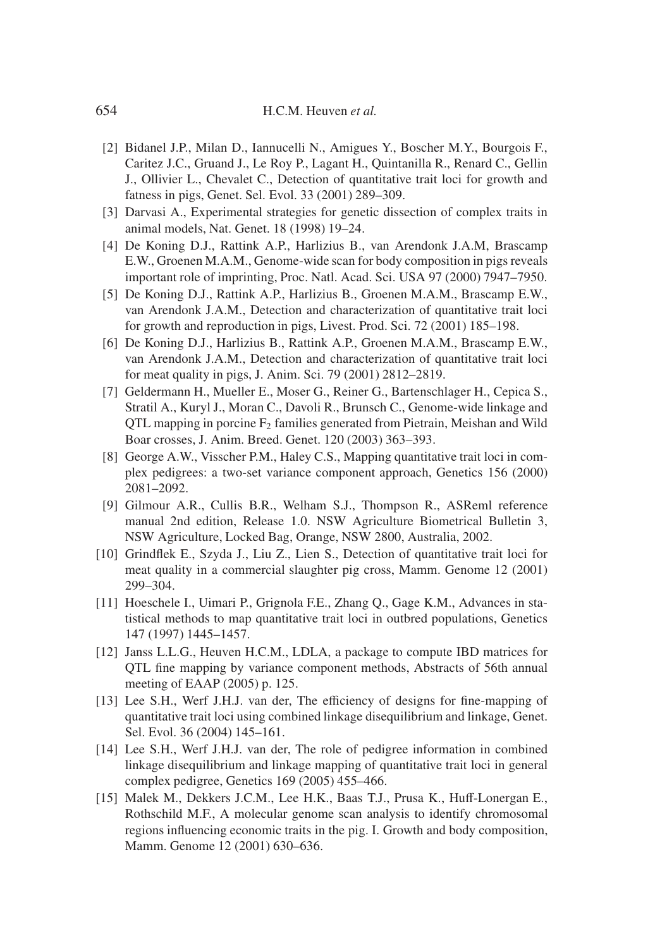- [2] Bidanel J.P., Milan D., Iannucelli N., Amigues Y., Boscher M.Y., Bourgois F., Caritez J.C., Gruand J., Le Roy P., Lagant H., Quintanilla R., Renard C., Gellin J., Ollivier L., Chevalet C., Detection of quantitative trait loci for growth and fatness in pigs, Genet. Sel. Evol. 33 (2001) 289–309.
- [3] Darvasi A., Experimental strategies for genetic dissection of complex traits in animal models, Nat. Genet. 18 (1998) 19–24.
- [4] De Koning D.J., Rattink A.P., Harlizius B., van Arendonk J.A.M, Brascamp E.W., Groenen M.A.M., Genome-wide scan for body composition in pigs reveals important role of imprinting, Proc. Natl. Acad. Sci. USA 97 (2000) 7947–7950.
- [5] De Koning D.J., Rattink A.P., Harlizius B., Groenen M.A.M., Brascamp E.W., van Arendonk J.A.M., Detection and characterization of quantitative trait loci for growth and reproduction in pigs, Livest. Prod. Sci. 72 (2001) 185–198.
- [6] De Koning D.J., Harlizius B., Rattink A.P., Groenen M.A.M., Brascamp E.W., van Arendonk J.A.M., Detection and characterization of quantitative trait loci for meat quality in pigs, J. Anim. Sci. 79 (2001) 2812–2819.
- [7] Geldermann H., Mueller E., Moser G., Reiner G., Bartenschlager H., Cepica S., Stratil A., Kuryl J., Moran C., Davoli R., Brunsch C., Genome-wide linkage and QTL mapping in porcine  $F_2$  families generated from Pietrain, Meishan and Wild Boar crosses, J. Anim. Breed. Genet. 120 (2003) 363–393.
- [8] George A.W., Visscher P.M., Haley C.S., Mapping quantitative trait loci in complex pedigrees: a two-set variance component approach, Genetics 156 (2000) 2081–2092.
- [9] Gilmour A.R., Cullis B.R., Welham S.J., Thompson R., ASReml reference manual 2nd edition, Release 1.0. NSW Agriculture Biometrical Bulletin 3, NSW Agriculture, Locked Bag, Orange, NSW 2800, Australia, 2002.
- [10] Grindflek E., Szyda J., Liu Z., Lien S., Detection of quantitative trait loci for meat quality in a commercial slaughter pig cross, Mamm. Genome 12 (2001) 299–304.
- [11] Hoeschele I., Uimari P., Grignola F.E., Zhang Q., Gage K.M., Advances in statistical methods to map quantitative trait loci in outbred populations, Genetics 147 (1997) 1445–1457.
- [12] Janss L.L.G., Heuven H.C.M., LDLA, a package to compute IBD matrices for QTL fine mapping by variance component methods, Abstracts of 56th annual meeting of EAAP (2005) p. 125.
- [13] Lee S.H., Werf J.H.J. van der, The efficiency of designs for fine-mapping of quantitative trait loci using combined linkage disequilibrium and linkage, Genet. Sel. Evol. 36 (2004) 145–161.
- [14] Lee S.H., Werf J.H.J. van der, The role of pedigree information in combined linkage disequilibrium and linkage mapping of quantitative trait loci in general complex pedigree, Genetics 169 (2005) 455–466.
- [15] Malek M., Dekkers J.C.M., Lee H.K., Baas T.J., Prusa K., Huff-Lonergan E., Rothschild M.F., A molecular genome scan analysis to identify chromosomal regions influencing economic traits in the pig. I. Growth and body composition, Mamm. Genome 12 (2001) 630–636.